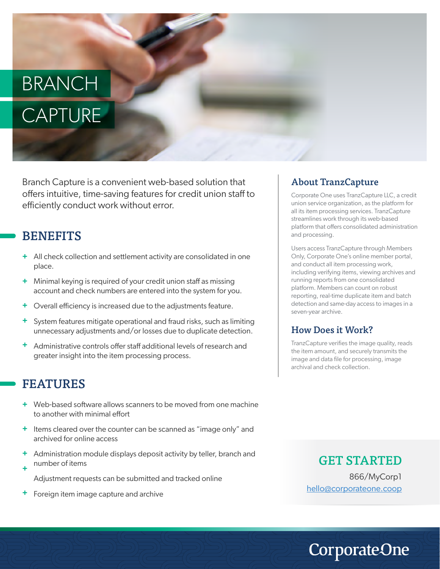# BRANCH **CAPTURE**

Branch Capture is a convenient web-based solution that offers intuitive, time-saving features for credit union staff to efficiently conduct work without error.

## BENEFITS

- **+** All check collection and settlement activity are consolidated in one place.
- **+** Minimal keying is required of your credit union staff as missing account and check numbers are entered into the system for you.
- **+** Overall efficiency is increased due to the adjustments feature.
- **+** System features mitigate operational and fraud risks, such as limiting unnecessary adjustments and/or losses due to duplicate detection.
- **+** Administrative controls offer staff additional levels of research and greater insight into the item processing process.

## FEATURES

**+**

- + Web-based software allows scanners to be moved from one machine to another with minimal effort
- **+** Items cleared over the counter can be scanned as "image only" and archived for online access
- **+** Administration module displays deposit activity by teller, branch and number of items
	- Adjustment requests can be submitted and tracked online
- **+** Foreign item image capture and archive

### About TranzCapture

Corporate One uses TranzCapture LLC, a credit union service organization, as the platform for all its item processing services. TranzCapture streamlines work through its web-based platform that offers consolidated administration and processing.

Users access TranzCapture through Members Only, Corporate One's online member portal, and conduct all item processing work, including verifying items, viewing archives and running reports from one consolidated platform. Members can count on robust reporting, real-time duplicate item and batch detection and same-day access to images in a seven-year archive.

#### How Does it Work?

TranzCapture verifies the image quality, reads the item amount, and securely transmits the image and data file for processing, image archival and check collection.

> GET STARTED 866/MyCorp1 hello@corporateone.coop

**CorporateOne**